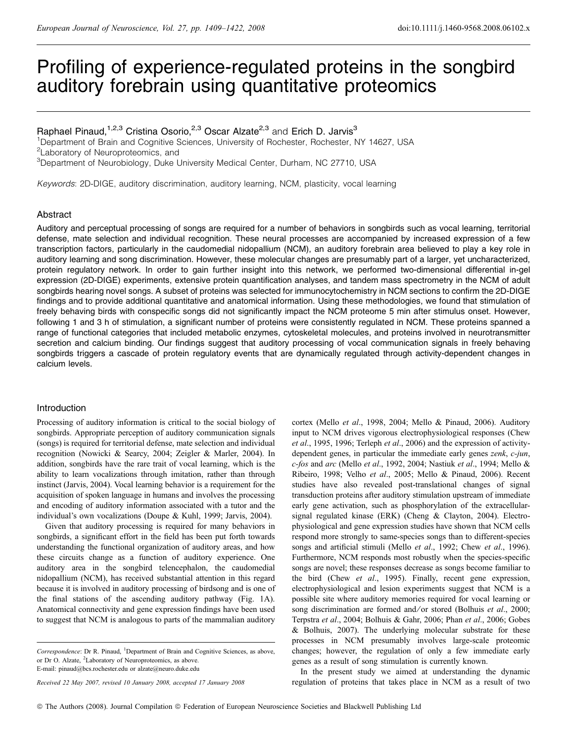# Profiling of experience-regulated proteins in the songbird auditory forebrain using quantitative proteomics

# Raphael Pinaud,<sup>1,2,3</sup> Cristina Osorio,<sup>2,3</sup> Oscar Alzate<sup>2,3</sup> and Erich D. Jarvis<sup>3</sup>

<sup>1</sup>Department of Brain and Cognitive Sciences, University of Rochester, Rochester, NY 14627, USA <sup>2</sup>Laboratory of Neuroproteomics, and

3 Department of Neurobiology, Duke University Medical Center, Durham, NC 27710, USA

Keywords: 2D-DIGE, auditory discrimination, auditory learning, NCM, plasticity, vocal learning

# Abstract

Auditory and perceptual processing of songs are required for a number of behaviors in songbirds such as vocal learning, territorial defense, mate selection and individual recognition. These neural processes are accompanied by increased expression of a few transcription factors, particularly in the caudomedial nidopallium (NCM), an auditory forebrain area believed to play a key role in auditory learning and song discrimination. However, these molecular changes are presumably part of a larger, yet uncharacterized, protein regulatory network. In order to gain further insight into this network, we performed two-dimensional differential in-gel expression (2D-DIGE) experiments, extensive protein quantification analyses, and tandem mass spectrometry in the NCM of adult songbirds hearing novel songs. A subset of proteins was selected for immunocytochemistry in NCM sections to confirm the 2D-DIGE findings and to provide additional quantitative and anatomical information. Using these methodologies, we found that stimulation of freely behaving birds with conspecific songs did not significantly impact the NCM proteome 5 min after stimulus onset. However, following 1 and 3 h of stimulation, a significant number of proteins were consistently regulated in NCM. These proteins spanned a range of functional categories that included metabolic enzymes, cytoskeletal molecules, and proteins involved in neurotransmitter secretion and calcium binding. Our findings suggest that auditory processing of vocal communication signals in freely behaving songbirds triggers a cascade of protein regulatory events that are dynamically regulated through activity-dependent changes in calcium levels.

#### Introduction

Processing of auditory information is critical to the social biology of songbirds. Appropriate perception of auditory communication signals (songs) is required for territorial defense, mate selection and individual recognition (Nowicki & Searcy, 2004; Zeigler & Marler, 2004). In addition, songbirds have the rare trait of vocal learning, which is the ability to learn vocalizations through imitation, rather than through instinct (Jarvis, 2004). Vocal learning behavior is a requirement for the acquisition of spoken language in humans and involves the processing and encoding of auditory information associated with a tutor and the individual's own vocalizations (Doupe & Kuhl, 1999; Jarvis, 2004).

Given that auditory processing is required for many behaviors in songbirds, a significant effort in the field has been put forth towards understanding the functional organization of auditory areas, and how these circuits change as a function of auditory experience. One auditory area in the songbird telencephalon, the caudomedial nidopallium (NCM), has received substantial attention in this regard because it is involved in auditory processing of birdsong and is one of the final stations of the ascending auditory pathway (Fig. 1A). Anatomical connectivity and gene expression findings have been used to suggest that NCM is analogous to parts of the mammalian auditory

Received 22 May 2007, revised 10 January 2008, accepted 17 January 2008

cortex (Mello et al., 1998, 2004; Mello & Pinaud, 2006). Auditory input to NCM drives vigorous electrophysiological responses (Chew et al., 1995, 1996; Terleph et al., 2006) and the expression of activitydependent genes, in particular the immediate early genes zenk, c-jun, c-fos and arc (Mello et al., 1992, 2004; Nastiuk et al., 1994; Mello & Ribeiro, 1998; Velho et al., 2005; Mello & Pinaud, 2006). Recent studies have also revealed post-translational changes of signal transduction proteins after auditory stimulation upstream of immediate early gene activation, such as phosphorylation of the extracellularsignal regulated kinase (ERK) (Cheng & Clayton, 2004). Electrophysiological and gene expression studies have shown that NCM cells respond more strongly to same-species songs than to different-species songs and artificial stimuli (Mello et al., 1992; Chew et al., 1996). Furthermore, NCM responds most robustly when the species-specific songs are novel; these responses decrease as songs become familiar to the bird (Chew et al., 1995). Finally, recent gene expression, electrophysiological and lesion experiments suggest that NCM is a possible site where auditory memories required for vocal learning or song discrimination are formed and/or stored (Bolhuis et al., 2000; Terpstra et al., 2004; Bolhuis & Gahr, 2006; Phan et al., 2006; Gobes & Bolhuis, 2007). The underlying molecular substrate for these processes in NCM presumably involves large-scale proteomic changes; however, the regulation of only a few immediate early genes as a result of song stimulation is currently known.

In the present study we aimed at understanding the dynamic regulation of proteins that takes place in NCM as a result of two

Correspondence: Dr R. Pinaud, <sup>1</sup>Department of Brain and Cognitive Sciences, as above, or Dr O. Alzate, <sup>2</sup>Laboratory of Neuroproteomics, as above. E-mail: pinaud@bcs.rochester.edu or alzate@neuro.duke.edu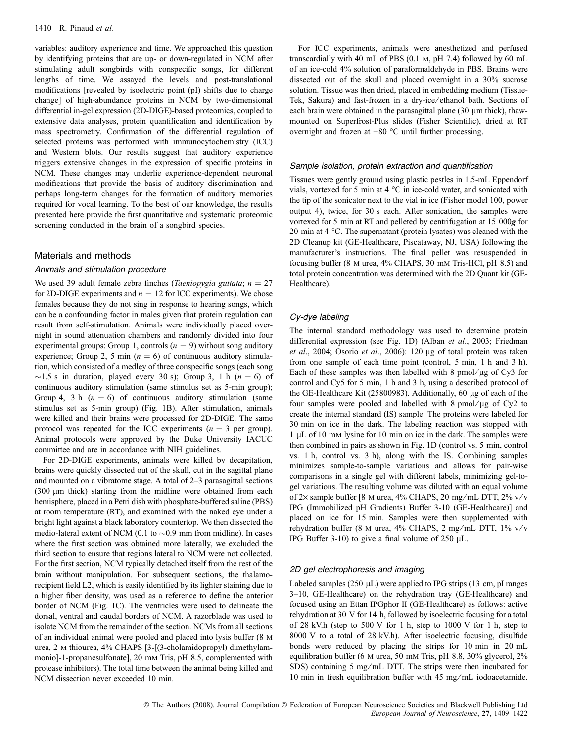variables: auditory experience and time. We approached this question by identifying proteins that are up- or down-regulated in NCM after stimulating adult songbirds with conspecific songs, for different lengths of time. We assayed the levels and post-translational modifications [revealed by isoelectric point (pI) shifts due to charge change] of high-abundance proteins in NCM by two-dimensional differential in-gel expression (2D-DIGE)-based proteomics, coupled to extensive data analyses, protein quantification and identification by mass spectrometry. Confirmation of the differential regulation of selected proteins was performed with immunocytochemistry (ICC) and Western blots. Our results suggest that auditory experience triggers extensive changes in the expression of specific proteins in NCM. These changes may underlie experience-dependent neuronal modifications that provide the basis of auditory discrimination and perhaps long-term changes for the formation of auditory memories required for vocal learning. To the best of our knowledge, the results presented here provide the first quantitative and systematic proteomic screening conducted in the brain of a songbird species.

#### Materials and methods

#### Animals and stimulation procedure

We used 39 adult female zebra finches (Taeniopygia guttata;  $n = 27$ for 2D-DIGE experiments and  $n = 12$  for ICC experiments). We chose females because they do not sing in response to hearing songs, which can be a confounding factor in males given that protein regulation can result from self-stimulation. Animals were individually placed overnight in sound attenuation chambers and randomly divided into four experimental groups: Group 1, controls  $(n = 9)$  without song auditory experience; Group 2, 5 min ( $n = 6$ ) of continuous auditory stimulation, which consisted of a medley of three conspecific songs (each song  $\sim$ 1.5 s in duration, played every 30 s); Group 3, 1 h ( $n = 6$ ) of continuous auditory stimulation (same stimulus set as 5-min group); Group 4, 3 h  $(n = 6)$  of continuous auditory stimulation (same stimulus set as 5-min group) (Fig. 1B). After stimulation, animals were killed and their brains were processed for 2D-DIGE. The same protocol was repeated for the ICC experiments  $(n = 3$  per group). Animal protocols were approved by the Duke University IACUC committee and are in accordance with NIH guidelines.

For 2D-DIGE experiments, animals were killed by decapitation, brains were quickly dissected out of the skull, cut in the sagittal plane and mounted on a vibratome stage. A total of 2–3 parasagittal sections (300 lm thick) starting from the midline were obtained from each hemisphere, placed in a Petri dish with phosphate-buffered saline (PBS) at room temperature (RT), and examined with the naked eye under a bright light against a black laboratory countertop. We then dissected the medio-lateral extent of NCM (0.1 to  $\sim 0.9$  mm from midline). In cases where the first section was obtained more laterally, we excluded the third section to ensure that regions lateral to NCM were not collected. For the first section, NCM typically detached itself from the rest of the brain without manipulation. For subsequent sections, the thalamorecipient field L2, which is easily identified by its lighter staining due to a higher fiber density, was used as a reference to define the anterior border of NCM (Fig. 1C). The ventricles were used to delineate the dorsal, ventral and caudal borders of NCM. A razorblade was used to isolate NCM from the remainder of the section. NCMs from all sections of an individual animal were pooled and placed into lysis buffer (8 m urea, 2 m thiourea, 4% CHAPS [3-[(3-cholamidopropyl) dimethylammonio]-1-propanesulfonate], 20 mm Tris, pH 8.5, complemented with protease inhibitors). The total time between the animal being killed and NCM dissection never exceeded 10 min.

For ICC experiments, animals were anesthetized and perfused transcardially with 40 mL of PBS (0.1 m, pH 7.4) followed by 60 mL of an ice-cold 4% solution of paraformaldehyde in PBS. Brains were dissected out of the skull and placed overnight in a 30% sucrose solution. Tissue was then dried, placed in embedding medium (Tissue-Tek, Sakura) and fast-frozen in a dry-ice ⁄ ethanol bath. Sections of each brain were obtained in the parasagittal plane  $(30 \mu m)$  thick), thawmounted on Superfrost-Plus slides (Fisher Scientific), dried at RT overnight and frozen at  $-80$  °C until further processing.

#### Sample isolation, protein extraction and quantification

Tissues were gently ground using plastic pestles in 1.5-mL Eppendorf vials, vortexed for 5 min at 4  $^{\circ}$ C in ice-cold water, and sonicated with the tip of the sonicator next to the vial in ice (Fisher model 100, power output 4), twice, for 30 s each. After sonication, the samples were vortexed for 5 min at RT and pelleted by centrifugation at 15 000g for 20 min at 4  $\degree$ C. The supernatant (protein lysates) was cleaned with the 2D Cleanup kit (GE-Healthcare, Piscataway, NJ, USA) following the manufacturer's instructions. The final pellet was resuspended in focusing buffer (8 m urea, 4% CHAPS, 30 mm Tris-HCl, pH 8.5) and total protein concentration was determined with the 2D Quant kit (GE-Healthcare).

#### Cy-dye labeling

The internal standard methodology was used to determine protein differential expression (see Fig. 1D) (Alban et al., 2003; Friedman et al., 2004; Osorio et al., 2006): 120  $\mu$ g of total protein was taken from one sample of each time point (control, 5 min, 1 h and 3 h). Each of these samples was then labelled with 8 pmol/ $\mu$ g of Cy3 for control and Cy5 for 5 min, 1 h and 3 h, using a described protocol of the GE-Healthcare Kit (25800983). Additionally, 60  $\mu$ g of each of the four samples were pooled and labelled with 8 pmol/ $\mu$ g of Cy2 to create the internal standard (IS) sample. The proteins were labeled for 30 min on ice in the dark. The labeling reaction was stopped with  $1 \mu L$  of 10 mm lysine for 10 min on ice in the dark. The samples were then combined in pairs as shown in Fig. 1D (control vs. 5 min, control vs. 1 h, control vs. 3 h), along with the IS. Combining samples minimizes sample-to-sample variations and allows for pair-wise comparisons in a single gel with different labels, minimizing gel-togel variations. The resulting volume was diluted with an equal volume of  $2\times$  sample buffer [8 M urea, 4% CHAPS, 20 mg/mL DTT,  $2\%$  v/v IPG (Immobilized pH Gradients) Buffer 3-10 (GE-Healthcare)] and placed on ice for 15 min. Samples were then supplemented with rehydration buffer (8 M urea, 4% CHAPS, 2 mg/mL DTT, 1% v/v IPG Buffer 3-10) to give a final volume of 250  $\mu$ L.

#### 2D gel electrophoresis and imaging

Labeled samples (250  $\mu$ L) were applied to IPG strips (13 cm, pI ranges 3–10, GE-Healthcare) on the rehydration tray (GE-Healthcare) and focused using an Ettan IPGphor II (GE-Healthcare) as follows: active rehydration at 30 V for 14 h, followed by isoelectric focusing for a total of 28 kV.h (step to 500 V for 1 h, step to 1000 V for 1 h, step to 8000 V to a total of 28 kV.h). After isoelectric focusing, disulfide bonds were reduced by placing the strips for 10 min in 20 mL equilibration buffer (6 m urea, 50 mm Tris, pH 8.8, 30% glycerol, 2% SDS) containing 5 mg/mL DTT. The strips were then incubated for 10 min in fresh equilibration buffer with 45 mg/mL iodoacetamide.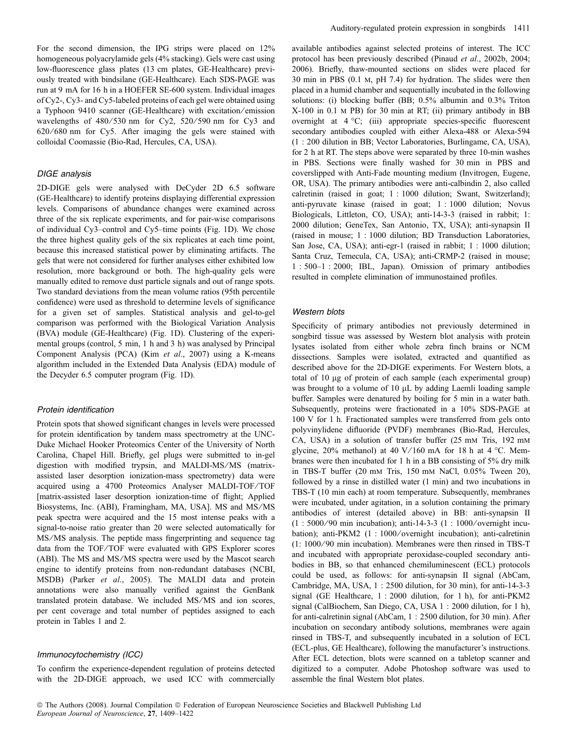For the second dimension, the IPG strips were placed on 12% homogeneous polyacrylamide gels (4% stacking). Gels were cast using low-fluorescence glass plates (13 cm plates, GE-Healthcare) previously treated with bindsilane (GE-Healthcare). Each SDS-PAGE was run at 9 mA for 16 h in a HOEFER SE-600 system. Individual images of Cy2-, Cy3- and Cy5-labeled proteins of each gel were obtained using a Typhoon 9410 scanner (GE-Healthcare) with excitation ⁄ emission wavelengths of  $480/530$  nm for Cy2,  $520/590$  nm for Cy3 and 620 ⁄ 680 nm for Cy5. After imaging the gels were stained with colloidal Coomassie (Bio-Rad, Hercules, CA, USA).

#### DIGE analysis

2D-DIGE gels were analysed with DeCyder 2D 6.5 software (GE-Healthcare) to identify proteins displaying differential expression levels. Comparisons of abundance changes were examined across three of the six replicate experiments, and for pair-wise comparisons of individual Cy3–control and Cy5–time points (Fig. 1D). We chose the three highest quality gels of the six replicates at each time point, because this increased statistical power by eliminating artifacts. The gels that were not considered for further analyses either exhibited low resolution, more background or both. The high-quality gels were manually edited to remove dust particle signals and out of range spots. Two standard deviations from the mean volume ratios (95th percentile confidence) were used as threshold to determine levels of significance for a given set of samples. Statistical analysis and gel-to-gel comparison was performed with the Biological Variation Analysis (BVA) module (GE-Healthcare) (Fig. 1D). Clustering of the experimental groups (control, 5 min, 1 h and 3 h) was analysed by Principal Component Analysis (PCA) (Kim et al., 2007) using a K-means algorithm included in the Extended Data Analysis (EDA) module of the Decyder 6.5 computer program (Fig. 1D).

#### Protein identification

Protein spots that showed significant changes in levels were processed for protein identification by tandem mass spectrometry at the UNC-Duke Michael Hooker Proteomics Center of the University of North Carolina, Chapel Hill. Briefly, gel plugs were submitted to in-gel digestion with modified trypsin, and MALDI-MS/MS (matrixassisted laser desorption ionization-mass spectrometry) data were acquired using a 4700 Proteomics Analyser MALDI-TOF/TOF [matrix-assisted laser desorption ionization-time of flight; Applied Biosystems, Inc. (ABI), Framingham, MA, USA]. MS and MS/MS peak spectra were acquired and the 15 most intense peaks with a signal-to-noise ratio greater than 20 were selected automatically for MS ⁄ MS analysis. The peptide mass fingerprinting and sequence tag data from the TOF/TOF were evaluated with GPS Explorer scores (ABI). The MS and MS/MS spectra were used by the Mascot search engine to identify proteins from non-redundant databases (NCBI, MSDB) (Parker et al., 2005). The MALDI data and protein annotations were also manually verified against the GenBank translated protein database. We included MS/MS and ion scores, per cent coverage and total number of peptides assigned to each protein in Tables 1 and 2.

#### Immunocytochemistry (ICC)

To confirm the experience-dependent regulation of proteins detected with the 2D-DIGE approach, we used ICC with commercially available antibodies against selected proteins of interest. The ICC protocol has been previously described (Pinaud et al., 2002b, 2004; 2006). Briefly, thaw-mounted sections on slides were placed for 30 min in PBS (0.1 m, pH 7.4) for hydration. The slides were then placed in a humid chamber and sequentially incubated in the following solutions: (i) blocking buffer (BB; 0.5% albumin and 0.3% Triton X-100 in 0.1 m PB) for 30 min at RT; (ii) primary antibody in BB overnight at  $4 \text{ }^{\circ}\text{C}$ ; (iii) appropriate species-specific fluorescent secondary antibodies coupled with either Alexa-488 or Alexa-594 (1 : 200 dilution in BB; Vector Laboratories, Burlingame, CA, USA), for 2 h at RT. The steps above were separated by three 10-min washes in PBS. Sections were finally washed for 30 min in PBS and coverslipped with Anti-Fade mounting medium (Invitrogen, Eugene, OR, USA). The primary antibodies were anti-calbindin 2, also called calretinin (raised in goat; 1 : 1000 dilution; Swant, Switzerland); anti-pyruvate kinase (raised in goat; 1 : 1000 dilution; Novus Biologicals, Littleton, CO, USA); anti-14-3-3 (raised in rabbit; 1: 2000 dilution; GeneTex, San Antonio, TX, USA); anti-synapsin II (raised in mouse; 1 : 1000 dilution; BD Transduction Laboratories, San Jose, CA, USA); anti-egr-1 (raised in rabbit; 1 : 1000 dilution; Santa Cruz, Temecula, CA, USA); anti-CRMP-2 (raised in mouse; 1 : 500–1 : 2000; IBL, Japan). Omission of primary antibodies resulted in complete elimination of immunostained profiles.

#### Western blots

Specificity of primary antibodies not previously determined in songbird tissue was assessed by Western blot analysis with protein lysates isolated from either whole zebra finch brains or NCM dissections. Samples were isolated, extracted and quantified as described above for the 2D-DIGE experiments. For Western blots, a total of 10 µg of protein of each sample (each experimental group) was brought to a volume of 10 µL by adding Laemli loading sample buffer. Samples were denatured by boiling for 5 min in a water bath. Subsequently, proteins were fractionated in a 10% SDS-PAGE at 100 V for 1 h. Fractionated samples were transferred from gels onto polyvinylidene difluoride (PVDF) membranes (Bio-Rad, Hercules, CA, USA) in a solution of transfer buffer (25 mM Tris, 192 mM glycine, 20% methanol) at 40 V/160 mA for 18 h at 4  $^{\circ}$ C. Membranes were then incubated for 1 h in a BB consisting of 5% dry milk in TBS-T buffer (20 mm Tris, 150 mm NaCl, 0.05% Tween 20), followed by a rinse in distilled water (1 min) and two incubations in TBS-T (10 min each) at room temperature. Subsequently, membranes were incubated, under agitation, in a solution containing the primary antibodies of interest (detailed above) in BB: anti-synapsin II (1 : 5000 ⁄ 90 min incubation); anti-14-3-3 (1 : 1000 ⁄ overnight incubation); anti-PKM2 (1 : 1000/overnight incubation); anti-calretinin (1: 1000 ⁄ 90 min incubation). Membranes were then rinsed in TBS-T and incubated with appropriate peroxidase-coupled secondary antibodies in BB, so that enhanced chemiluminescent (ECL) protocols could be used, as follows: for anti-synapsin II signal (AbCam, Cambridge, MA, USA, 1 : 2500 dilution, for 30 min), for anti-14-3-3 signal (GE Healthcare, 1 : 2000 dilution, for 1 h), for anti-PKM2 signal (CalBiochem, San Diego, CA, USA 1 : 2000 dilution, for 1 h), for anti-calretinin signal (AbCam, 1 : 2500 dilution, for 30 min). After incubation on secondary antibody solutions, membranes were again rinsed in TBS-T, and subsequently incubated in a solution of ECL (ECL-plus, GE Healthcare), following the manufacturer's instructions. After ECL detection, blots were scanned on a tabletop scanner and digitized to a computer. Adobe Photoshop software was used to assemble the final Western blot plates.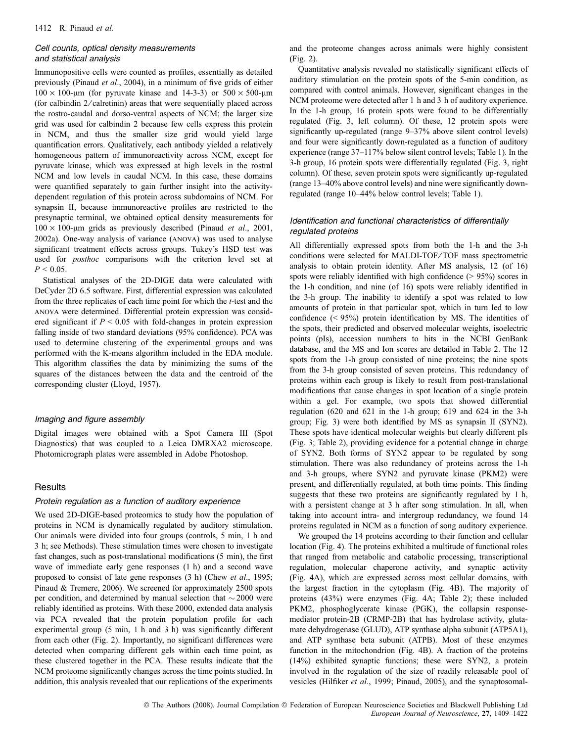#### Cell counts, optical density measurements and statistical analysis

Immunopositive cells were counted as profiles, essentially as detailed previously (Pinaud et al., 2004), in a minimum of five grids of either  $100 \times 100$ -um (for pyruvate kinase and 14-3-3) or  $500 \times 500$ -um (for calbindin  $2$ / calretinin) areas that were sequentially placed across the rostro-caudal and dorso-ventral aspects of NCM; the larger size grid was used for calbindin 2 because few cells express this protein in NCM, and thus the smaller size grid would yield large quantification errors. Qualitatively, each antibody yielded a relatively homogeneous pattern of immunoreactivity across NCM, except for pyruvate kinase, which was expressed at high levels in the rostral NCM and low levels in caudal NCM. In this case, these domains were quantified separately to gain further insight into the activitydependent regulation of this protein across subdomains of NCM. For synapsin II, because immunoreactive profiles are restricted to the presynaptic terminal, we obtained optical density measurements for  $100 \times 100$ -µm grids as previously described (Pinaud *et al.*, 2001, 2002a). One-way analysis of variance (anova) was used to analyse significant treatment effects across groups. Tukey's HSD test was used for *posthoc* comparisons with the criterion level set at  $P < 0.05$ .

Statistical analyses of the 2D-DIGE data were calculated with DeCyder 2D 6.5 software. First, differential expression was calculated from the three replicates of each time point for which the t-test and the anova were determined. Differential protein expression was considered significant if  $P \le 0.05$  with fold-changes in protein expression falling inside of two standard deviations (95% confidence). PCA was used to determine clustering of the experimental groups and was performed with the K-means algorithm included in the EDA module. This algorithm classifies the data by minimizing the sums of the squares of the distances between the data and the centroid of the corresponding cluster (Lloyd, 1957).

#### Imaging and figure assembly

Digital images were obtained with a Spot Camera III (Spot Diagnostics) that was coupled to a Leica DMRXA2 microscope. Photomicrograph plates were assembled in Adobe Photoshop.

## **Results**

#### Protein regulation as a function of auditory experience

We used 2D-DIGE-based proteomics to study how the population of proteins in NCM is dynamically regulated by auditory stimulation. Our animals were divided into four groups (controls, 5 min, 1 h and 3 h; see Methods). These stimulation times were chosen to investigate fast changes, such as post-translational modifications (5 min), the first wave of immediate early gene responses (1 h) and a second wave proposed to consist of late gene responses (3 h) (Chew et al., 1995; Pinaud & Tremere, 2006). We screened for approximately 2500 spots per condition, and determined by manual selection that  $\sim$  2000 were reliably identified as proteins. With these 2000, extended data analysis via PCA revealed that the protein population profile for each experimental group (5 min, 1 h and 3 h) was significantly different from each other (Fig. 2). Importantly, no significant differences were detected when comparing different gels within each time point, as these clustered together in the PCA. These results indicate that the NCM proteome significantly changes across the time points studied. In addition, this analysis revealed that our replications of the experiments

and the proteome changes across animals were highly consistent (Fig. 2).

Quantitative analysis revealed no statistically significant effects of auditory stimulation on the protein spots of the 5-min condition, as compared with control animals. However, significant changes in the NCM proteome were detected after 1 h and 3 h of auditory experience. In the 1-h group, 16 protein spots were found to be differentially regulated (Fig. 3, left column). Of these, 12 protein spots were significantly up-regulated (range 9–37% above silent control levels) and four were significantly down-regulated as a function of auditory experience (range 37–117% below silent control levels; Table 1). In the 3-h group, 16 protein spots were differentially regulated (Fig. 3, right column). Of these, seven protein spots were significantly up-regulated (range 13–40% above control levels) and nine were significantly downregulated (range 10–44% below control levels; Table 1).

# Identification and functional characteristics of differentially regulated proteins

All differentially expressed spots from both the 1-h and the 3-h conditions were selected for MALDI-TOF/TOF mass spectrometric analysis to obtain protein identity. After MS analysis, 12 (of 16) spots were reliably identified with high confidence  $(> 95\%)$  scores in the 1-h condition, and nine (of 16) spots were reliably identified in the 3-h group. The inability to identify a spot was related to low amounts of protein in that particular spot, which in turn led to low confidence (< 95%) protein identification by MS. The identities of the spots, their predicted and observed molecular weights, isoelectric points (pIs), accession numbers to hits in the NCBI GenBank database, and the MS and Ion scores are detailed in Table 2. The 12 spots from the 1-h group consisted of nine proteins; the nine spots from the 3-h group consisted of seven proteins. This redundancy of proteins within each group is likely to result from post-translational modifications that cause changes in spot location of a single protein within a gel. For example, two spots that showed differential regulation (620 and 621 in the 1-h group; 619 and 624 in the 3-h group; Fig. 3) were both identified by MS as synapsin II (SYN2). These spots have identical molecular weights but clearly different pIs (Fig. 3; Table 2), providing evidence for a potential change in charge of SYN2. Both forms of SYN2 appear to be regulated by song stimulation. There was also redundancy of proteins across the 1-h and 3-h groups, where SYN2 and pyruvate kinase (PKM2) were present, and differentially regulated, at both time points. This finding suggests that these two proteins are significantly regulated by 1 h, with a persistent change at 3 h after song stimulation. In all, when taking into account intra- and intergroup redundancy, we found 14 proteins regulated in NCM as a function of song auditory experience.

We grouped the 14 proteins according to their function and cellular location (Fig. 4). The proteins exhibited a multitude of functional roles that ranged from metabolic and catabolic processing, transcriptional regulation, molecular chaperone activity, and synaptic activity (Fig. 4A), which are expressed across most cellular domains, with the largest fraction in the cytoplasm (Fig. 4B). The majority of proteins (43%) were enzymes (Fig. 4A; Table 2); these included PKM2, phosphoglycerate kinase (PGK), the collapsin responsemediator protein-2B (CRMP-2B) that has hydrolase activity, glutamate dehydrogenase (GLUD), ATP synthase alpha subunit (ATP5A1), and ATP synthase beta subunit (ATPB). Most of these enzymes function in the mitochondrion (Fig. 4B). A fraction of the proteins (14%) exhibited synaptic functions; these were SYN2, a protein involved in the regulation of the size of readily releasable pool of vesicles (Hilfiker et al., 1999; Pinaud, 2005), and the synaptosomal-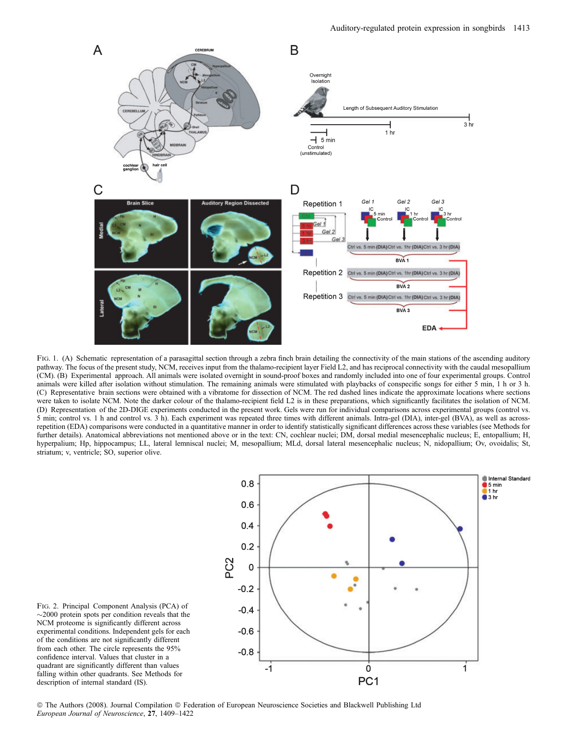

FIG. 1. (A) Schematic representation of a parasagittal section through a zebra finch brain detailing the connectivity of the main stations of the ascending auditory pathway. The focus of the present study, NCM, receives input from the thalamo-recipient layer Field L2, and has reciprocal connectivity with the caudal mesopallium (CM). (B) Experimental approach. All animals were isolated overnight in sound-proof boxes and randomly included into one of four experimental groups. Control animals were killed after isolation without stimulation. The remaining animals were stimulated with playbacks of conspecific songs for either 5 min, 1 h or 3 h. (C) Representative brain sections were obtained with a vibratome for dissection of NCM. The red dashed lines indicate the approximate locations where sections were taken to isolate NCM. Note the darker colour of the thalamo-recipient field L2 is in these preparations, which significantly facilitates the isolation of NCM. (D) Representation of the 2D-DIGE experiments conducted in the present work. Gels were run for individual comparisons across experimental groups (control vs. 5 min; control vs. 1 h and control vs. 3 h). Each experiment was repeated three times with different animals. Intra-gel (DIA), inter-gel (BVA), as well as acrossrepetition (EDA) comparisons were conducted in a quantitative manner in order to identify statistically significant differences across these variables (see Methods for further details). Anatomical abbreviations not mentioned above or in the text: CN, cochlear nuclei; DM, dorsal medial mesencephalic nucleus; E, entopallium; H, hyperpalium; Hp, hippocampus; LL, lateral lemniscal nuclei; M, mesopallium; MLd, dorsal lateral mesencephalic nucleus; N, nidopallium; Ov, ovoidalis; St, striatum; v, ventricle; SO, superior olive.



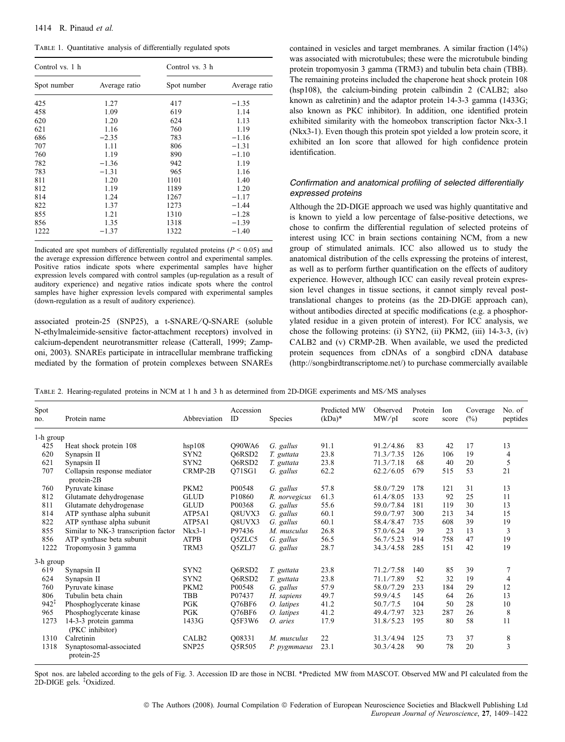Table 1. Quantitative analysis of differentially regulated spots

| Control vs. 1 h |               | Control vs. 3 h |               |  |  |  |  |
|-----------------|---------------|-----------------|---------------|--|--|--|--|
| Spot number     | Average ratio | Spot number     | Average ratio |  |  |  |  |
| 425             | 1.27          | 417             | $-1.35$       |  |  |  |  |
| 458             | 1.09          | 619             | 1.14          |  |  |  |  |
| 620             | 1.20          | 624             | 1.13          |  |  |  |  |
| 621             | 1.16          | 760             | 1.19          |  |  |  |  |
| 686             | $-2.35$       | 783             | $-1.16$       |  |  |  |  |
| 707             | 1.11          | 806             | $-1.31$       |  |  |  |  |
| 760             | 1.19          | 890             | $-1.10$       |  |  |  |  |
| 782             | $-1.36$       | 942             | 1.19          |  |  |  |  |
| 783             | $-1.31$       | 965             | 1.16          |  |  |  |  |
| 811             | 1.20          | 1101            | 1.40          |  |  |  |  |
| 812             | 1.19          | 1189            | 1.20          |  |  |  |  |
| 814             | 1.24          | 1267            | $-1.17$       |  |  |  |  |
| 822             | 1.37          | 1273            | $-1.44$       |  |  |  |  |
| 855             | 1.21          | 1310            | $-1.28$       |  |  |  |  |
| 856             | 1.35          | 1318            | $-1.39$       |  |  |  |  |
| 1222            | $-1.37$       | 1322            | $-1.40$       |  |  |  |  |

Indicated are spot numbers of differentially regulated proteins ( $P \le 0.05$ ) and the average expression difference between control and experimental samples. Positive ratios indicate spots where experimental samples have higher expression levels compared with control samples (up-regulation as a result of auditory experience) and negative ratios indicate spots where the control samples have higher expression levels compared with experimental samples (down-regulation as a result of auditory experience).

associated protein-25 (SNP25), a t-SNARE/Q-SNARE (soluble N-ethylmaleimide-sensitive factor-attachment receptors) involved in calcium-dependent neurotransmitter release (Catterall, 1999; Zamponi, 2003). SNAREs participate in intracellular membrane trafficking mediated by the formation of protein complexes between SNAREs contained in vesicles and target membranes. A similar fraction (14%) was associated with microtubules; these were the microtubule binding protein tropomyosin 3 gamma (TRM3) and tubulin beta chain (TBB). The remaining proteins included the chaperone heat shock protein 108 (hsp108), the calcium-binding protein calbindin 2 (CALB2; also known as calretinin) and the adaptor protein 14-3-3 gamma (1433G; also known as PKC inhibitor). In addition, one identified protein exhibited similarity with the homeobox transcription factor Nkx-3.1 (Nkx3-1). Even though this protein spot yielded a low protein score, it exhibited an Ion score that allowed for high confidence protein identification.

# Confirmation and anatomical profiling of selected differentially expressed proteins

Although the 2D-DIGE approach we used was highly quantitative and is known to yield a low percentage of false-positive detections, we chose to confirm the differential regulation of selected proteins of interest using ICC in brain sections containing NCM, from a new group of stimulated animals. ICC also allowed us to study the anatomical distribution of the cells expressing the proteins of interest, as well as to perform further quantification on the effects of auditory experience. However, although ICC can easily reveal protein expression level changes in tissue sections, it cannot simply reveal posttranslational changes to proteins (as the 2D-DIGE approach can), without antibodies directed at specific modifications (e.g. a phosphorylated residue in a given protein of interest). For ICC analysis, we chose the following proteins: (i) SYN2, (ii) PKM2, (iii) 14-3-3, (iv) CALB2 and (v) CRMP-2B. When available, we used the predicted protein sequences from cDNAs of a songbird cDNA database (http://songbirdtranscriptome.net/) to purchase commercially available

TABLE 2. Hearing-regulated proteins in NCM at 1 h and 3 h as determined from 2D-DIGE experiments and MS/MS analyses

| Spot<br>no.      | Protein name                              | Abbreviation      | Accession<br><b>ID</b> | Species       | Predicted MW<br>$(kDa)*$ | Observed<br>MW/pI | Protein<br>score | Ion<br>score | Coverage<br>$(\%)$ | No. of<br>peptides |  |
|------------------|-------------------------------------------|-------------------|------------------------|---------------|--------------------------|-------------------|------------------|--------------|--------------------|--------------------|--|
| 1-h group        |                                           |                   |                        |               |                          |                   |                  |              |                    |                    |  |
| 425              | Heat shock protein 108                    | hsp108            | O90WA6                 | G. gallus     | 91.1                     | 91.2/4.86         | 83               | 42           | 17                 | 13                 |  |
| 620              | Synapsin II                               | SYN <sub>2</sub>  | O6RSD2                 | T. guttata    | 23.8                     | 71.3/7.35         | 126              | 106          | 19                 | $\overline{4}$     |  |
| 621              | Synapsin II                               | SYN2              | O6RSD <sub>2</sub>     | T. guttata    | 23.8                     | 71.3 / 7.18       | 68               | 40           | 20                 | 5                  |  |
| 707              | Collapsin response mediator<br>protein-2B | CRMP-2B           | O71SG1                 | G. gallus     | 62.2                     | 62.2/6.05         | 679              | 515          | 53                 | 21                 |  |
| 760              | Pyruvate kinase                           | PKM2              | P00548                 | G. gallus     | 57.8                     | 58.0/7.29         | 178              | 121          | 31                 | 13                 |  |
| 812              | Glutamate dehydrogenase                   | <b>GLUD</b>       | P10860                 | R. norvegicus | 61.3                     | 61.4/8.05         | 133              | 92           | 25                 | 11                 |  |
| 811              | Glutamate dehydrogenase                   | <b>GLUD</b>       | P00368                 | G. gallus     | 55.6                     | 59.0/7.84         | 181              | 119          | 30                 | 13                 |  |
| 814              | ATP synthase alpha subunit                | ATP5A1            | O8UVX3                 | G. gallus     | 60.1                     | 59.0/7.97         | 300              | 213          | 34                 | 15                 |  |
| 822              | ATP synthase alpha subunit                | ATP5A1            | O8UVX3                 | G. gallus     | 60.1                     | 58.4/8.47         | 735              | 608          | 39                 | 19                 |  |
| 855              | Similar to NK-3 transcription factor      | $Nkx3-1$          | P97436                 | M. musculus   | 26.8                     | 57.0/6.24         | 39               | 23           | 13                 | 3                  |  |
| 856              | ATP synthase beta subunit                 | <b>ATPB</b>       | O5ZLC5                 | G. gallus     | 56.5                     | 56.7/5.23         | 914              | 758          | 47                 | 19                 |  |
| 1222             | Tropomyosin 3 gamma                       | TRM3              | O <sub>5</sub> ZLJ7    | G. gallus     | 28.7                     | 34.3/4.58         | 285              | 151          | 42                 | 19                 |  |
| 3-h group        |                                           |                   |                        |               |                          |                   |                  |              |                    |                    |  |
| 619              | Synapsin II                               | SYN2              | O6RSD2                 | T. guttata    | 23.8                     | 71.2/7.58         | 140              | 85           | 39                 | 7                  |  |
| 624              | Synapsin II                               | SYN <sub>2</sub>  | O6RSD2                 | T. guttata    | 23.8                     | 71.1/7.89         | 52               | 32           | 19                 | $\overline{4}$     |  |
| 760              | Pyruvate kinase                           | PKM2              | P00548                 | G. gallus     | 57.9                     | 58.0/7.29         | 233              | 184          | 29                 | 12                 |  |
| 806              | Tubulin beta chain                        | <b>TBB</b>        | P07437                 | H. sapiens    | 49.7                     | 59.9/4.5          | 145              | 64           | 26                 | 13                 |  |
| $942^{\ddagger}$ | Phosphoglycerate kinase                   | <b>PGK</b>        | O76BF6                 | O. latipes    | 41.2                     | 50.7/7.5          | 104              | 50           | 28                 | 10                 |  |
| 965              | Phosphoglycerate kinase                   | <b>PGK</b>        | O76BF6                 | O. latipes    | 41.2                     | 49.4/7.97         | 323              | 287          | 26                 | 8                  |  |
| 1273             | 14-3-3 protein gamma<br>(PKC inhibitor)   | 1433G             | O5F3W6                 | O. aries      | 17.9                     | 31.8 / 5.23       | 195              | 80           | 58                 | 11                 |  |
| 1310             | Calretinin                                | CALB <sub>2</sub> | Q08331                 | M. musculus   | 22                       | 31.3/4.94         | 125              | 73           | 37                 | 8                  |  |
| 1318             | Synaptosomal-associated<br>protein-25     | SNP <sub>25</sub> | O5R505                 | P. pygmmaeus  | 23.1                     | 30.3/4.28         | 90               | 78           | 20                 | 3                  |  |

Spot nos. are labeled according to the gels of Fig. 3. Accession ID are those in NCBI. \*Predicted MW from MASCOT. Observed MW and PI calculated from the 2D-DIGE gels. <sup>‡</sup>Oxidized.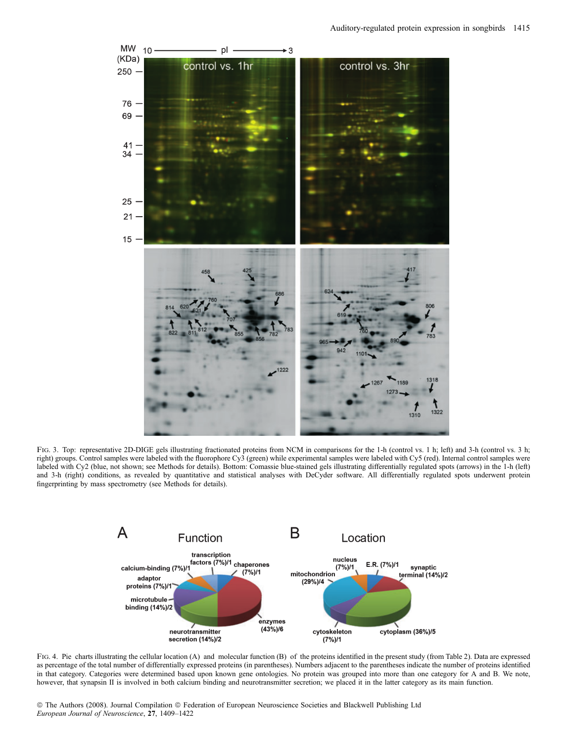

FIG. 3. Top: representative 2D-DIGE gels illustrating fractionated proteins from NCM in comparisons for the 1-h (control vs. 1 h; left) and 3-h (control vs. 3 h; right) groups. Control samples were labeled with the fluorophore Cy3 (green) while experimental samples were labeled with Cy5 (red). Internal control samples were labeled with Cy2 (blue, not shown; see Methods for details). Bottom: Comassie blue-stained gels illustrating differentially regulated spots (arrows) in the 1-h (left) and 3-h (right) conditions, as revealed by quantitative and statistical analyses with DeCyder software. All differentially regulated spots underwent protein fingerprinting by mass spectrometry (see Methods for details).



FIG. 4. Pie charts illustrating the cellular location (A) and molecular function (B) of the proteins identified in the present study (from Table 2). Data are expressed as percentage of the total number of differentially expressed proteins (in parentheses). Numbers adjacent to the parentheses indicate the number of proteins identified in that category. Categories were determined based upon known gene ontologies. No protein was grouped into more than one category for A and B. We note, however, that synapsin II is involved in both calcium binding and neurotransmitter secretion; we placed it in the latter category as its main function.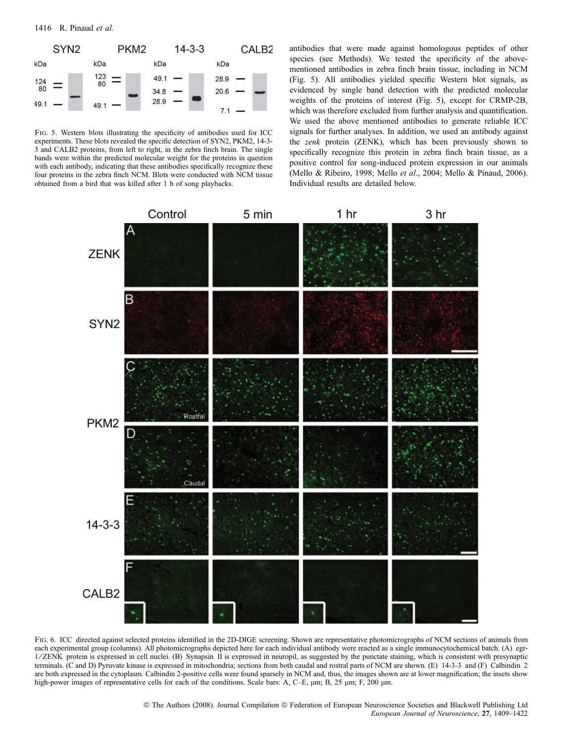

Fig. 5. Western blots illustrating the specificity of antibodies used for ICC experiments. These blots revealed the specific detection of SYN2, PKM2, 14-3- 3 and CALB2 proteins, from left to right, in the zebra finch brain. The single bands were within the predicted molecular weight for the proteins in question with each antibody, indicating that these antibodies specifically recognize these four proteins in the zebra finch NCM. Blots were conducted with NCM tissue obtained from a bird that was killed after 1 h of song playbacks.

antibodies that were made against homologous peptides of other species (see Methods). We tested the specificity of the abovementioned antibodies in zebra finch brain tissue, including in NCM (Fig. 5). All antibodies yielded specific Western blot signals, as evidenced by single band detection with the predicted molecular weights of the proteins of interest (Fig. 5), except for CRMP-2B, which was therefore excluded from further analysis and quantification. We used the above mentioned antibodies to generate reliable ICC signals for further analyses. In addition, we used an antibody against the zenk protein (ZENK), which has been previously shown to specifically recognize this protein in zebra finch brain tissue, as a positive control for song-induced protein expression in our animals (Mello & Ribeiro, 1998; Mello et al., 2004; Mello & Pinaud, 2006). Individual results are detailed below.



Fig. 6. ICC directed against selected proteins identified in the 2D-DIGE screening. Shown are representative photomicrographs of NCM sections of animals from each experimental group (columns). All photomicrographs depicted here for each individual antibody were reacted as a single immunocytochemical batch. (A) egr-1 ⁄ ZENK protein is expressed in cell nuclei. (B) Synapsin II is expressed in neuropil, as suggested by the punctate staining, which is consistent with presynaptic terminals. (C and D) Pyruvate kinase is expressed in mitochondria; sections from both caudal and rostral parts of NCM are shown. (E) 14-3-3 and (F) Calbindin 2 are both expressed in the cytoplasm. Calbindin 2-positive cells were found sparsely in NCM and, thus, the images shown are at lower magnification; the insets show high-power images of representative cells for each of the conditions. Scale bars: A, C–E,  $\mu$ m; B, 25  $\mu$ m; F, 200  $\mu$ m.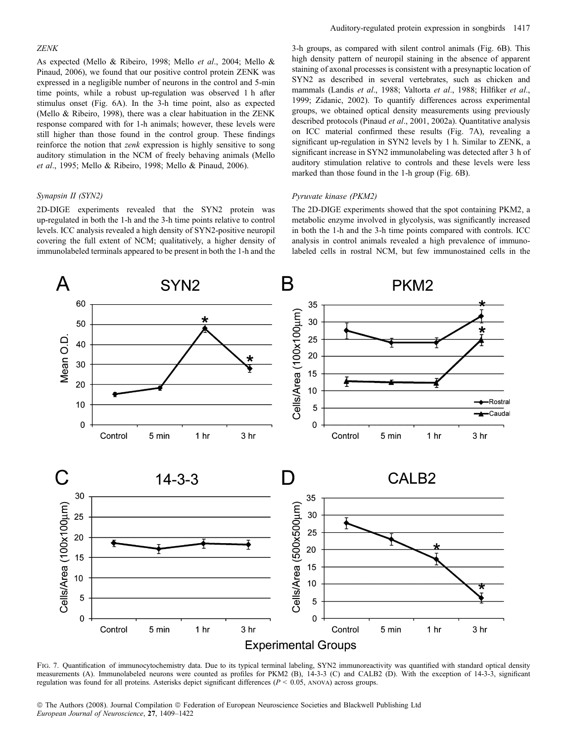#### ZENK

As expected (Mello & Ribeiro, 1998; Mello et al., 2004; Mello & Pinaud, 2006), we found that our positive control protein ZENK was expressed in a negligible number of neurons in the control and 5-min time points, while a robust up-regulation was observed 1 h after stimulus onset (Fig. 6A). In the 3-h time point, also as expected (Mello & Ribeiro, 1998), there was a clear habituation in the ZENK response compared with for 1-h animals; however, these levels were still higher than those found in the control group. These findings reinforce the notion that zenk expression is highly sensitive to song auditory stimulation in the NCM of freely behaving animals (Mello et al., 1995; Mello & Ribeiro, 1998; Mello & Pinaud, 2006).

#### Synapsin II (SYN2)

2D-DIGE experiments revealed that the SYN2 protein was up-regulated in both the 1-h and the 3-h time points relative to control levels. ICC analysis revealed a high density of SYN2-positive neuropil covering the full extent of NCM; qualitatively, a higher density of immunolabeled terminals appeared to be present in both the 1-h and the 3-h groups, as compared with silent control animals (Fig. 6B). This high density pattern of neuropil staining in the absence of apparent staining of axonal processes is consistent with a presynaptic location of SYN2 as described in several vertebrates, such as chicken and mammals (Landis et al., 1988; Valtorta et al., 1988; Hilfiker et al., 1999; Zidanic, 2002). To quantify differences across experimental groups, we obtained optical density measurements using previously described protocols (Pinaud et al., 2001, 2002a). Quantitative analysis on ICC material confirmed these results (Fig. 7A), revealing a significant up-regulation in SYN2 levels by 1 h. Similar to ZENK, a significant increase in SYN2 immunolabeling was detected after 3 h of auditory stimulation relative to controls and these levels were less marked than those found in the 1-h group (Fig. 6B).

#### Pyruvate kinase (PKM2)

The 2D-DIGE experiments showed that the spot containing PKM2, a metabolic enzyme involved in glycolysis, was significantly increased in both the 1-h and the 3-h time points compared with controls. ICC analysis in control animals revealed a high prevalence of immunolabeled cells in rostral NCM, but few immunostained cells in the



FIG. 7. Quantification of immunocytochemistry data. Due to its typical terminal labeling, SYN2 immunoreactivity was quantified with standard optical density measurements (A). Immunolabeled neurons were counted as profiles for PKM2 (B), 14-3-3 (C) and CALB2 (D). With the exception of 14-3-3, significant regulation was found for all proteins. Asterisks depict significant differences ( $P < 0.05$ , ANOVA) across groups.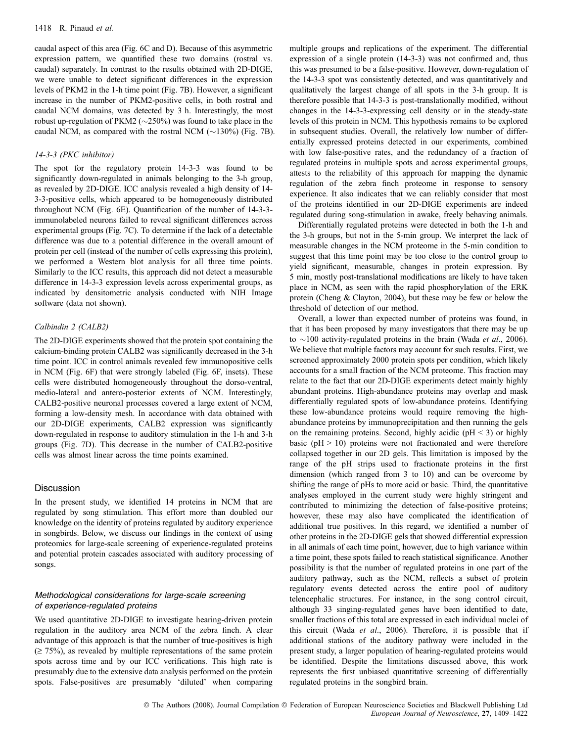caudal aspect of this area (Fig. 6C and D). Because of this asymmetric expression pattern, we quantified these two domains (rostral vs. caudal) separately. In contrast to the results obtained with 2D-DIGE, we were unable to detect significant differences in the expression levels of PKM2 in the 1-h time point (Fig. 7B). However, a significant increase in the number of PKM2-positive cells, in both rostral and caudal NCM domains, was detected by 3 h. Interestingly, the most robust up-regulation of PKM2 ( $\sim$ 250%) was found to take place in the caudal NCM, as compared with the rostral NCM  $(\sim]130\%)$  (Fig. 7B).

# 14-3-3 (PKC inhibitor)

The spot for the regulatory protein 14-3-3 was found to be significantly down-regulated in animals belonging to the 3-h group, as revealed by 2D-DIGE. ICC analysis revealed a high density of 14- 3-3-positive cells, which appeared to be homogeneously distributed throughout NCM (Fig. 6E). Quantification of the number of 14-3-3 immunolabeled neurons failed to reveal significant differences across experimental groups (Fig. 7C). To determine if the lack of a detectable difference was due to a potential difference in the overall amount of protein per cell (instead of the number of cells expressing this protein), we performed a Western blot analysis for all three time points. Similarly to the ICC results, this approach did not detect a measurable difference in 14-3-3 expression levels across experimental groups, as indicated by densitometric analysis conducted with NIH Image software (data not shown).

#### Calbindin 2 (CALB2)

The 2D-DIGE experiments showed that the protein spot containing the calcium-binding protein CALB2 was significantly decreased in the 3-h time point. ICC in control animals revealed few immunopositive cells in NCM (Fig. 6F) that were strongly labeled (Fig. 6F, insets). These cells were distributed homogeneously throughout the dorso-ventral, medio-lateral and antero-posterior extents of NCM. Interestingly, CALB2-positive neuronal processes covered a large extent of NCM, forming a low-density mesh. In accordance with data obtained with our 2D-DIGE experiments, CALB2 expression was significantly down-regulated in response to auditory stimulation in the 1-h and 3-h groups (Fig. 7D). This decrease in the number of CALB2-positive cells was almost linear across the time points examined.

## Discussion

In the present study, we identified 14 proteins in NCM that are regulated by song stimulation. This effort more than doubled our knowledge on the identity of proteins regulated by auditory experience in songbirds. Below, we discuss our findings in the context of using proteomics for large-scale screening of experience-regulated proteins and potential protein cascades associated with auditory processing of songs.

# Methodological considerations for large-scale screening of experience-regulated proteins

We used quantitative 2D-DIGE to investigate hearing-driven protein regulation in the auditory area NCM of the zebra finch. A clear advantage of this approach is that the number of true-positives is high  $(\geq 75\%)$ , as revealed by multiple representations of the same protein spots across time and by our ICC verifications. This high rate is presumably due to the extensive data analysis performed on the protein spots. False-positives are presumably 'diluted' when comparing multiple groups and replications of the experiment. The differential expression of a single protein (14-3-3) was not confirmed and, thus this was presumed to be a false-positive. However, down-regulation of the 14-3-3 spot was consistently detected, and was quantitatively and qualitatively the largest change of all spots in the 3-h group. It is therefore possible that 14-3-3 is post-translationally modified, without changes in the 14-3-3-expressing cell density or in the steady-state levels of this protein in NCM. This hypothesis remains to be explored in subsequent studies. Overall, the relatively low number of differentially expressed proteins detected in our experiments, combined with low false-positive rates, and the redundancy of a fraction of regulated proteins in multiple spots and across experimental groups, attests to the reliability of this approach for mapping the dynamic regulation of the zebra finch proteome in response to sensory experience. It also indicates that we can reliably consider that most of the proteins identified in our 2D-DIGE experiments are indeed regulated during song-stimulation in awake, freely behaving animals.

Differentially regulated proteins were detected in both the 1-h and the 3-h groups, but not in the 5-min group. We interpret the lack of measurable changes in the NCM proteome in the 5-min condition to suggest that this time point may be too close to the control group to yield significant, measurable, changes in protein expression. By 5 min, mostly post-translational modifications are likely to have taken place in NCM, as seen with the rapid phosphorylation of the ERK protein (Cheng & Clayton, 2004), but these may be few or below the threshold of detection of our method.

Overall, a lower than expected number of proteins was found, in that it has been proposed by many investigators that there may be up to  $\sim$ 100 activity-regulated proteins in the brain (Wada *et al.*, 2006). We believe that multiple factors may account for such results. First, we screened approximately 2000 protein spots per condition, which likely accounts for a small fraction of the NCM proteome. This fraction may relate to the fact that our 2D-DIGE experiments detect mainly highly abundant proteins. High-abundance proteins may overlap and mask differentially regulated spots of low-abundance proteins. Identifying these low-abundance proteins would require removing the highabundance proteins by immunoprecipitation and then running the gels on the remaining proteins. Second, highly acidic ( $pH < 3$ ) or highly basic ( $pH > 10$ ) proteins were not fractionated and were therefore collapsed together in our 2D gels. This limitation is imposed by the range of the pH strips used to fractionate proteins in the first dimension (which ranged from 3 to 10) and can be overcome by shifting the range of pHs to more acid or basic. Third, the quantitative analyses employed in the current study were highly stringent and contributed to minimizing the detection of false-positive proteins; however, these may also have complicated the identification of additional true positives. In this regard, we identified a number of other proteins in the 2D-DIGE gels that showed differential expression in all animals of each time point, however, due to high variance within a time point, these spots failed to reach statistical significance. Another possibility is that the number of regulated proteins in one part of the auditory pathway, such as the NCM, reflects a subset of protein regulatory events detected across the entire pool of auditory telencephalic structures. For instance, in the song control circuit, although 33 singing-regulated genes have been identified to date, smaller fractions of this total are expressed in each individual nuclei of this circuit (Wada et al., 2006). Therefore, it is possible that if additional stations of the auditory pathway were included in the present study, a larger population of hearing-regulated proteins would be identified. Despite the limitations discussed above, this work represents the first unbiased quantitative screening of differentially regulated proteins in the songbird brain.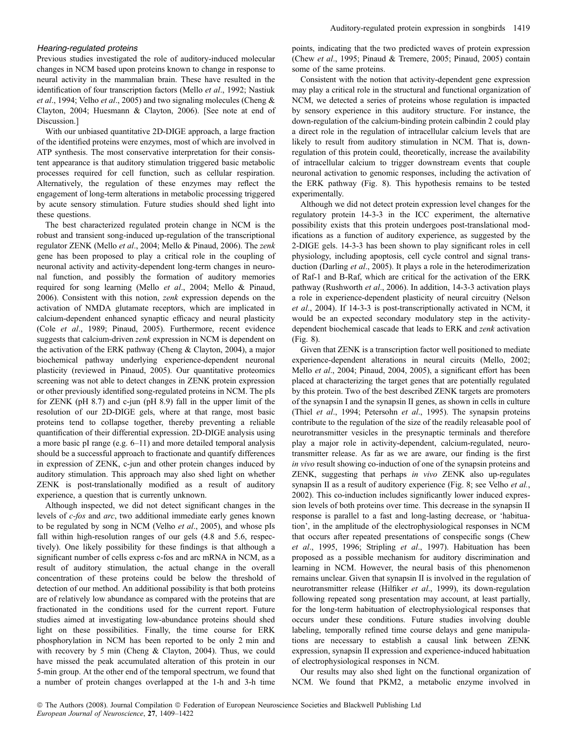#### Hearing-regulated proteins

Previous studies investigated the role of auditory-induced molecular changes in NCM based upon proteins known to change in response to neural activity in the mammalian brain. These have resulted in the identification of four transcription factors (Mello et al., 1992; Nastiuk et al., 1994; Velho et al., 2005) and two signaling molecules (Cheng & Clayton, 2004; Huesmann & Clayton, 2006). [See note at end of Discussion.]

With our unbiased quantitative 2D-DIGE approach, a large fraction of the identified proteins were enzymes, most of which are involved in ATP synthesis. The most conservative interpretation for their consistent appearance is that auditory stimulation triggered basic metabolic processes required for cell function, such as cellular respiration. Alternatively, the regulation of these enzymes may reflect the engagement of long-term alterations in metabolic processing triggered by acute sensory stimulation. Future studies should shed light into these questions.

The best characterized regulated protein change in NCM is the robust and transient song-induced up-regulation of the transcriptional regulator ZENK (Mello et al., 2004; Mello & Pinaud, 2006). The zenk gene has been proposed to play a critical role in the coupling of neuronal activity and activity-dependent long-term changes in neuronal function, and possibly the formation of auditory memories required for song learning (Mello et al., 2004; Mello & Pinaud, 2006). Consistent with this notion, zenk expression depends on the activation of NMDA glutamate receptors, which are implicated in calcium-dependent enhanced synaptic efficacy and neural plasticity (Cole et al., 1989; Pinaud, 2005). Furthermore, recent evidence suggests that calcium-driven zenk expression in NCM is dependent on the activation of the ERK pathway (Cheng & Clayton, 2004), a major biochemical pathway underlying experience-dependent neuronal plasticity (reviewed in Pinaud, 2005). Our quantitative proteomics screening was not able to detect changes in ZENK protein expression or other previously identified song-regulated proteins in NCM. The pIs for ZENK (pH 8.7) and c-jun (pH 8.9) fall in the upper limit of the resolution of our 2D-DIGE gels, where at that range, most basic proteins tend to collapse together, thereby preventing a reliable quantification of their differential expression. 2D-DIGE analysis using a more basic pI range (e.g. 6–11) and more detailed temporal analysis should be a successful approach to fractionate and quantify differences in expression of ZENK, c-jun and other protein changes induced by auditory stimulation. This approach may also shed light on whether ZENK is post-translationally modified as a result of auditory experience, a question that is currently unknown.

Although inspected, we did not detect significant changes in the levels of c-fos and arc, two additional immediate early genes known to be regulated by song in NCM (Velho et al., 2005), and whose pIs fall within high-resolution ranges of our gels (4.8 and 5.6, respectively). One likely possibility for these findings is that although a significant number of cells express c-fos and arc mRNA in NCM, as a result of auditory stimulation, the actual change in the overall concentration of these proteins could be below the threshold of detection of our method. An additional possibility is that both proteins are of relatively low abundance as compared with the proteins that are fractionated in the conditions used for the current report. Future studies aimed at investigating low-abundance proteins should shed light on these possibilities. Finally, the time course for ERK phosphorylation in NCM has been reported to be only 2 min and with recovery by 5 min (Cheng & Clayton, 2004). Thus, we could have missed the peak accumulated alteration of this protein in our 5-min group. At the other end of the temporal spectrum, we found that a number of protein changes overlapped at the 1-h and 3-h time points, indicating that the two predicted waves of protein expression (Chew et al., 1995; Pinaud & Tremere, 2005; Pinaud, 2005) contain some of the same proteins.

Consistent with the notion that activity-dependent gene expression may play a critical role in the structural and functional organization of NCM, we detected a series of proteins whose regulation is impacted by sensory experience in this auditory structure. For instance, the down-regulation of the calcium-binding protein calbindin 2 could play a direct role in the regulation of intracellular calcium levels that are likely to result from auditory stimulation in NCM. That is, downregulation of this protein could, theoretically, increase the availability of intracellular calcium to trigger downstream events that couple neuronal activation to genomic responses, including the activation of the ERK pathway (Fig. 8). This hypothesis remains to be tested experimentally.

Although we did not detect protein expression level changes for the regulatory protein 14-3-3 in the ICC experiment, the alternative possibility exists that this protein undergoes post-translational modifications as a function of auditory experience, as suggested by the 2-DIGE gels. 14-3-3 has been shown to play significant roles in cell physiology, including apoptosis, cell cycle control and signal transduction (Darling et al., 2005). It plays a role in the heterodimerization of Raf-1 and B-Raf, which are critical for the activation of the ERK pathway (Rushworth et al., 2006). In addition, 14-3-3 activation plays a role in experience-dependent plasticity of neural circuitry (Nelson et al., 2004). If 14-3-3 is post-transcriptionally activated in NCM, it would be an expected secondary modulatory step in the activitydependent biochemical cascade that leads to ERK and zenk activation (Fig. 8).

Given that ZENK is a transcription factor well positioned to mediate experience-dependent alterations in neural circuits (Mello, 2002; Mello et al., 2004; Pinaud, 2004, 2005), a significant effort has been placed at characterizing the target genes that are potentially regulated by this protein. Two of the best described ZENK targets are promoters of the synapsin I and the synapsin II genes, as shown in cells in culture (Thiel et al., 1994; Petersohn et al., 1995). The synapsin proteins contribute to the regulation of the size of the readily releasable pool of neurotransmitter vesicles in the presynaptic terminals and therefore play a major role in activity-dependent, calcium-regulated, neurotransmitter release. As far as we are aware, our finding is the first in vivo result showing co-induction of one of the synapsin proteins and ZENK, suggesting that perhaps in vivo ZENK also up-regulates synapsin II as a result of auditory experience (Fig. 8; see Velho et al., 2002). This co-induction includes significantly lower induced expression levels of both proteins over time. This decrease in the synapsin II response is parallel to a fast and long-lasting decrease, or 'habituation', in the amplitude of the electrophysiological responses in NCM that occurs after repeated presentations of conspecific songs (Chew et al., 1995, 1996; Stripling et al., 1997). Habituation has been proposed as a possible mechanism for auditory discrimination and learning in NCM. However, the neural basis of this phenomenon remains unclear. Given that synapsin II is involved in the regulation of neurotransmitter release (Hilfiker et al., 1999), its down-regulation following repeated song presentation may account, at least partially, for the long-term habituation of electrophysiological responses that occurs under these conditions. Future studies involving double labeling, temporally refined time course delays and gene manipulations are necessary to establish a causal link between ZENK expression, synapsin II expression and experience-induced habituation of electrophysiological responses in NCM.

Our results may also shed light on the functional organization of NCM. We found that PKM2, a metabolic enzyme involved in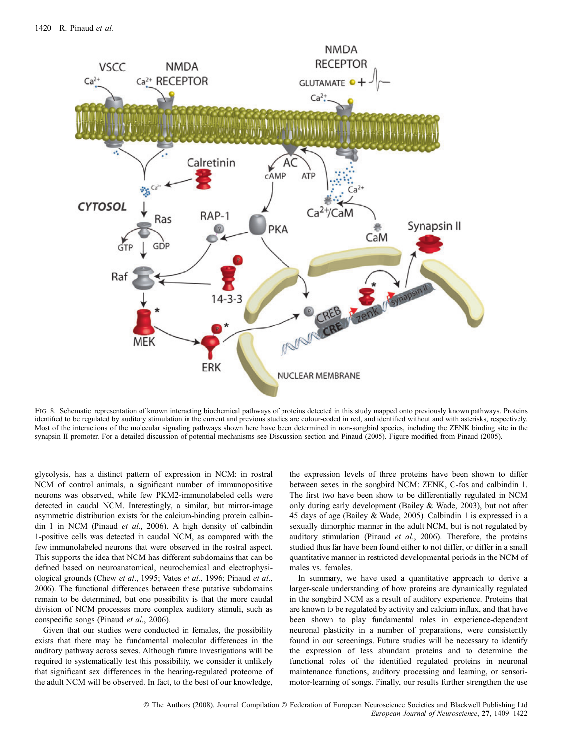

FIG. 8. Schematic representation of known interacting biochemical pathways of proteins detected in this study mapped onto previously known pathways. Proteins identified to be regulated by auditory stimulation in the current and previous studies are colour-coded in red, and identified without and with asterisks, respectively. Most of the interactions of the molecular signaling pathways shown here have been determined in non-songbird species, including the ZENK binding site in the synapsin II promoter. For a detailed discussion of potential mechanisms see Discussion section and Pinaud (2005). Figure modified from Pinaud (2005).

glycolysis, has a distinct pattern of expression in NCM: in rostral NCM of control animals, a significant number of immunopositive neurons was observed, while few PKM2-immunolabeled cells were detected in caudal NCM. Interestingly, a similar, but mirror-image asymmetric distribution exists for the calcium-binding protein calbindin 1 in NCM (Pinaud et al., 2006). A high density of calbindin 1-positive cells was detected in caudal NCM, as compared with the few immunolabeled neurons that were observed in the rostral aspect. This supports the idea that NCM has different subdomains that can be defined based on neuroanatomical, neurochemical and electrophysiological grounds (Chew et al., 1995; Vates et al., 1996; Pinaud et al., 2006). The functional differences between these putative subdomains remain to be determined, but one possibility is that the more caudal division of NCM processes more complex auditory stimuli, such as conspecific songs (Pinaud et al., 2006).

Given that our studies were conducted in females, the possibility exists that there may be fundamental molecular differences in the auditory pathway across sexes. Although future investigations will be required to systematically test this possibility, we consider it unlikely that significant sex differences in the hearing-regulated proteome of the adult NCM will be observed. In fact, to the best of our knowledge,

the expression levels of three proteins have been shown to differ between sexes in the songbird NCM: ZENK, C-fos and calbindin 1. The first two have been show to be differentially regulated in NCM only during early development (Bailey & Wade, 2003), but not after 45 days of age (Bailey & Wade, 2005). Calbindin 1 is expressed in a sexually dimorphic manner in the adult NCM, but is not regulated by auditory stimulation (Pinaud et al., 2006). Therefore, the proteins studied thus far have been found either to not differ, or differ in a small quantitative manner in restricted developmental periods in the NCM of males vs. females.

In summary, we have used a quantitative approach to derive a larger-scale understanding of how proteins are dynamically regulated in the songbird NCM as a result of auditory experience. Proteins that are known to be regulated by activity and calcium influx, and that have been shown to play fundamental roles in experience-dependent neuronal plasticity in a number of preparations, were consistently found in our screenings. Future studies will be necessary to identify the expression of less abundant proteins and to determine the functional roles of the identified regulated proteins in neuronal maintenance functions, auditory processing and learning, or sensorimotor-learning of songs. Finally, our results further strengthen the use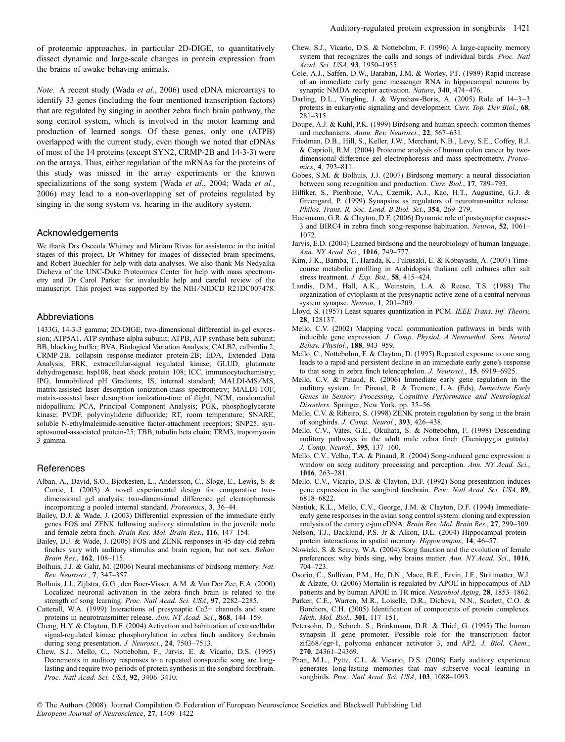of proteomic approaches, in particular 2D-DIGE, to quantitatively dissect dynamic and large-scale changes in protein expression from the brains of awake behaving animals.

Note. A recent study (Wada et al., 2006) used cDNA microarrays to identify 33 genes (including the four mentioned transcription factors) that are regulated by singing in another zebra finch brain pathway, the song control system, which is involved in the motor learning and production of learned songs. Of these genes, only one (ATPB) overlapped with the current study, even though we noted that cDNAs of most of the 14 proteins (except SYN2, CRMP-2B and 14-3-3) were on the arrays. Thus, either regulation of the mRNAs for the proteins of this study was missed in the array experiments or the known specializations of the song system (Wada et al., 2004; Wada et al., 2006) may lead to a non-overlapping set of proteins regulated by singing in the song system vs. hearing in the auditory system.

#### Acknowledgements

We thank Drs Osceola Whitney and Miriam Rivas for assistance in the initial stages of this project, Dr Whitney for images of dissected brain specimens, and Robert Buechler for help with data analyses. We also thank Ms Nedyalka Dicheva of the UNC-Duke Proteomics Center for help with mass spectrometry and Dr Carol Parker for invaluable help and careful review of the manuscript. This project was supported by the NIH/NIDCD R21DC007478.

#### Abbreviations

1433G, 14-3-3 gamma; 2D-DIGE, two-dimensional differential in-gel expression; ATP5A1, ATP synthase alpha subunit; ATPB, ATP synthase beta subunit; BB, blocking buffer; BVA, Biological Variation Analysis; CALB2, calbindin 2; CRMP-2B, collapsin response-mediator protein-2B; EDA, Extended Data Analysis; ERK, extracellular-signal regulated kinase; GLUD, glutamate dehydrogenase; hsp108, heat shock protein 108; ICC, immunocytochemistry; IPG, Immobilized pH Gradients; IS, internal standard; MALDI-MS/MS, matrix-assisted laser desorption ionization-mass spectrometry; MALDI-TOF, matrix-assisted laser desorption ionization-time of flight; NCM, caudomedial nidopallium; PCA, Principal Component Analysis; PGK, phosphoglycerate kinase; PVDF, polyvinylidene difluoride; RT, room temperature; SNARE, soluble N-ethylmaleimide-sensitive factor-attachment receptors; SNP25, synaptosomal-associated protein-25; TBB, tubulin beta chain; TRM3, tropomyosin 3 gamma.

#### References

- Alban, A., David, S.O., Bjorkesten, L., Andersson, C., Sloge, E., Lewis, S. & Currie, I. (2003) A novel experimental design for comparative twodimensional gel analysis: two-dimensional difference gel electrophoresis incorporating a pooled internal standard. Proteomics, 3, 36–44.
- Bailey, D.J. & Wade, J. (2003) Differential expression of the immediate early genes FOS and ZENK following auditory stimulation in the juvenile male and female zebra finch. Brain Res. Mol. Brain Res., 116, 147–154.
- Bailey, D.J. & Wade, J. (2005) FOS and ZENK responses in 45-day-old zebra finches vary with auditory stimulus and brain region, but not sex. Behav. Brain Res., 162, 108–115.
- Bolhuis, J.J. & Gahr, M. (2006) Neural mechanisms of birdsong memory. Nat. Rev. Neurosci., 7, 347–357.
- Bolhuis, J.J., Zijlstra, G.G., den Boer-Visser, A.M. & Van Der Zee, E.A. (2000) Localized neuronal activation in the zebra finch brain is related to the strength of song learning. Proc. Natl Acad. Sci. USA, 97, 2282–2285.
- Catterall, W.A. (1999) Interactions of presynaptic Ca2+ channels and snare proteins in neurotransmitter release. Ann. NY Acad. Sci., 868, 144–159.
- Cheng, H.Y. & Clayton, D.F. (2004) Activation and habituation of extracellular signal-regulated kinase phosphorylation in zebra finch auditory forebrain during song presentation. J. Neurosci., 24, 7503-7513.
- Chew, S.J., Mello, C., Nottebohm, F., Jarvis, E. & Vicario, D.S. (1995) Decrements in auditory responses to a repeated conspecific song are longlasting and require two periods of protein synthesis in the songbird forebrain. Proc. Natl Acad. Sci. USA, 92, 3406–3410.
- Chew, S.J., Vicario, D.S. & Nottebohm, F. (1996) A large-capacity memory system that recognizes the calls and songs of individual birds. Proc. Natl Acad. Sci. USA, 93, 1950–1955.
- Cole, A.J., Saffen, D.W., Baraban, J.M. & Worley, P.F. (1989) Rapid increase of an immediate early gene messenger RNA in hippocampal neurons by synaptic NMDA receptor activation. Nature, 340, 474–476.
- Darling, D.L., Yingling, J. & Wynshaw-Boris, A. (2005) Role of  $14-3-3$ proteins in eukaryotic signaling and development. Curr. Top. Dev Biol., 68, 281–315.
- Doupe, A.J. & Kuhl, P.K. (1999) Birdsong and human speech: common themes and mechanisms. Annu. Rev. Neurosci., 22, 567–631.
- Friedman, D.B., Hill, S., Keller, J.W., Merchant, N.B., Levy, S.E., Coffey, R.J. & Caprioli, R.M. (2004) Proteome analysis of human colon cancer by twodimensional difference gel electrophoresis and mass spectrometry. Proteomics, 4, 793–811.
- Gobes, S.M. & Bolhuis, J.J. (2007) Birdsong memory: a neural dissociation between song recognition and production. Curr. Biol., 17, 789–793.
- Hilfiker, S., Pieribone, V.A., Czernik, A.J., Kao, H.T., Augustine, G.J. & Greengard, P. (1999) Synapsins as regulators of neurotransmitter release. Philos. Trans. R. Soc. Lond. B Biol. Sci., 354, 269–279.
- Huesmann, G.R. & Clayton, D.F. (2006) Dynamic role of postsynaptic caspase-3 and BIRC4 in zebra finch song-response habituation. Neuron, 52, 1061– 1072.
- Jarvis, E.D. (2004) Learned birdsong and the neurobiology of human language. Ann. NY Acad. Sci., 1016, 749–777.
- Kim, J.K., Bamba, T., Harada, K., Fukusaki, E. & Kobayashi, A. (2007) Timecourse metabolic profiling in Arabidopsis thaliana cell cultures after salt stress treatment. J. Exp. Bot., 58, 415–424.
- Landis, D.M., Hall, A.K., Weinstein, L.A. & Reese, T.S. (1988) The organization of cytoplasm at the presynaptic active zone of a central nervous system synapse. Neuron, 1, 201–209.
- Lloyd, S. (1957) Least squares quantization in PCM. IEEE Trans. Inf. Theory, 28, 128137.
- Mello, C.V. (2002) Mapping vocal communication pathways in birds with inducible gene expression. J. Comp. Physiol. A Neuroethol. Sens. Neural Behav. Physiol., 188, 943–959.
- Mello, C., Nottebohm, F. & Clayton, D. (1995) Repeated exposure to one song leads to a rapid and persistent decline in an immediate early gene's response to that song in zebra finch telencephalon. J. Neurosci., 15, 6919–6925.
- Mello, C.V. & Pinaud, R. (2006) Immediate early gene regulation in the auditory system. In: Pinaud, R. & Tremere, L.A. (Eds), Immediate Early Genes in Sensory Processing, Cognitive Performance and Neurological Disorders. Springer, New York, pp. 35–56.
- Mello, C.V. & Ribeiro, S. (1998) ZENK protein regulation by song in the brain of songbirds. J. Comp. Neurol., 393, 426–438.
- Mello, C.V., Vates, G.E., Okuhata, S. & Nottebohm, F. (1998) Descending auditory pathways in the adult male zebra finch (Taeniopygia guttata). J. Comp. Neurol., 395, 137–160.
- Mello, C.V., Velho, T.A. & Pinaud, R. (2004) Song-induced gene expression: a window on song auditory processing and perception. Ann. NY Acad. Sci., 1016, 263–281.
- Mello, C.V., Vicario, D.S. & Clayton, D.F. (1992) Song presentation induces gene expression in the songbird forebrain. Proc. Natl Acad. Sci. USA, 89, 6818–6822.
- Nastiuk, K.L., Mello, C.V., George, J.M. & Clayton, D.F. (1994) Immediateearly gene responses in the avian song control system: cloning and expression analysis of the canary c-jun cDNA. Brain Res. Mol. Brain Res., 27, 299–309.
- Nelson, T.J., Backlund, P.S. Jr & Alkon, D.L. (2004) Hippocampal protein– protein interactions in spatial memory. Hippocampus, 14, 46–57.
- Nowicki, S. & Searcy, W.A. (2004) Song function and the evolution of female preferences: why birds sing, why brains matter. Ann. NY Acad. Sci., 1016, 704–723.
- Osorio, C., Sullivan, P.M., He, D.N., Mace, B.E., Ervin, J.F., Strittmatter, W.J. & Alzate, O. (2006) Mortalin is regulated by APOE in hippocampus of AD patients and by human APOE in TR mice. Neurobiol Aging, 28, 1853–1862.
- Parker, C.E., Warren, M.R., Loiselle, D.R., Dicheva, N.N., Scarlett, C.O. & Borchers, C.H. (2005) Identification of components of protein complexes. Meth. Mol. Biol., 301, 117–151.
- Petersohn, D., Schoch, S., Brinkmann, D.R. & Thiel, G. (1995) The human synapsin II gene promoter. Possible role for the transcription factor zif268/egr-1, polyoma enhancer activator 3, and AP2. J. Biol. Chem., 270, 24361–24369.
- Phan, M.L., Pytte, C.L. & Vicario, D.S. (2006) Early auditory experience generates long-lasting memories that may subserve vocal learning in songbirds. Proc. Natl Acad. Sci. USA, 103, 1088-1093.